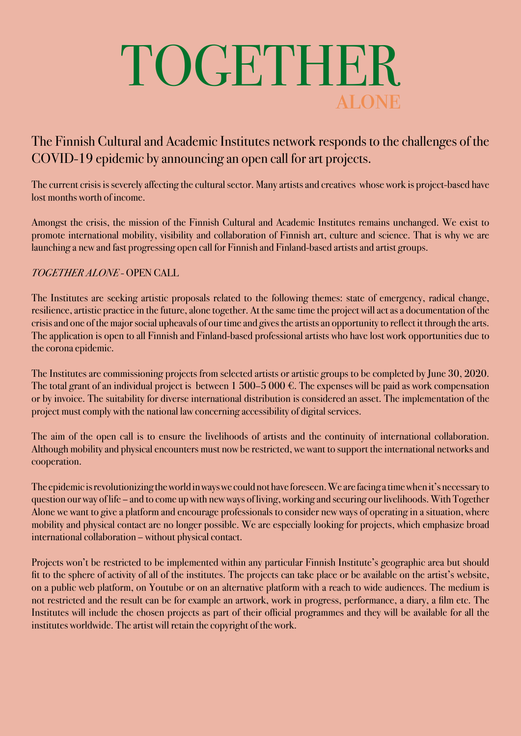# **ALONE** TOGETHER

### The Finnish Cultural and Academic Institutes network responds to the challenges of the COVID-19 epidemic by announcing an open call for art projects.

The current crisis is severely affecting the cultural sector. Many artists and creatives whose work is project-based have lost months worth of income.

Amongst the crisis, the mission of the Finnish Cultural and Academic Institutes remains unchanged. We exist to promote international mobility, visibility and collaboration of Finnish art, culture and science. That is why we are launching a new and fast progressing open call for Finnish and Finland-based artists and artist groups.

### *TOGETHER ALONE* - OPEN CALL

The Institutes are seeking artistic proposals related to the following themes: state of emergency, radical change, resilience, artistic practice in the future, alone together. At the same time the project will act as a documentation of the crisis and one of the major social upheavals of our time and gives the artists an opportunity to reflect it through the arts. The application is open to all Finnish and Finland-based professional artists who have lost work opportunities due to the corona epidemic.

The Institutes are commissioning projects from selected artists or artistic groups to be completed by June 30, 2020. The total grant of an individual project is between  $1\,500-5\,000$  €. The expenses will be paid as work compensation or by invoice. The suitability for diverse international distribution is considered an asset. The implementation of the project must comply with the national law concerning [accessibility of digital services](https://www.saavutettavuusvaatimukset.fi/).

The aim of the open call is to ensure the livelihoods of artists and the continuity of international collaboration. Although mobility and physical encounters must now be restricted, we want to support the international networks and cooperation.

The epidemic is revolutionizing the world in ways we could not have foreseen. We are facing a time when it's necessary to question our way of life – and to come up with new ways of living, working and securing our livelihoods. With Together Alone we want to give a platform and encourage professionals to consider new ways of operating in a situation, where mobility and physical contact are no longer possible. We are especially looking for projects, which emphasize broad international collaboration – without physical contact.

Projects won't be restricted to be implemented within any particular Finnish Institute's geographic area but should fit to the sphere of activity of all of the institutes. The projects can take place or be available on the artist's website, on a public web platform, on Youtube or on an alternative platform with a reach to wide audiences. The medium is not restricted and the result can be for example an artwork, work in progress, performance, a diary, a film etc. The Institutes will include the chosen projects as part of their official programmes and they will be available for all the institutes worldwide. The artist will retain the copyright of the work.